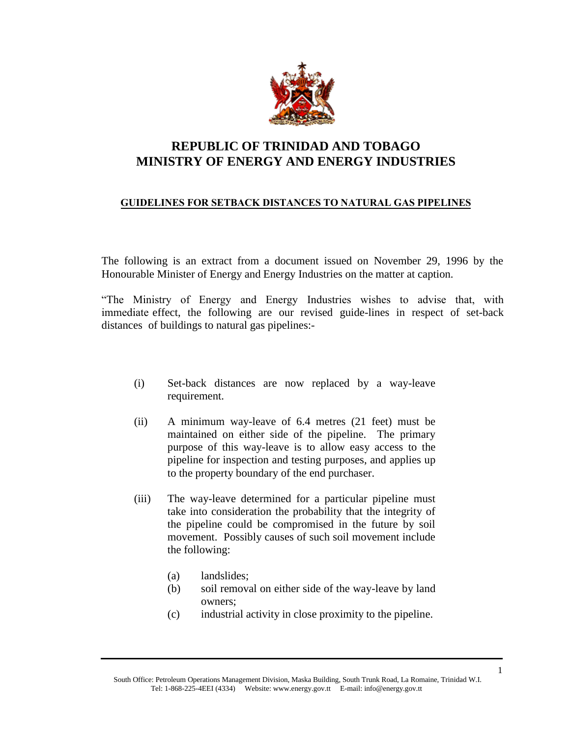

## **REPUBLIC OF TRINIDAD AND TOBAGO MINISTRY OF ENERGY AND ENERGY INDUSTRIES**

## **GUIDELINES FOR SETBACK DISTANCES TO NATURAL GAS PIPELINES**

The following is an extract from a document issued on November 29, 1996 by the Honourable Minister of Energy and Energy Industries on the matter at caption.

"The Ministry of Energy and Energy Industries wishes to advise that, with immediate effect, the following are our revised guide-lines in respect of set-back distances of buildings to natural gas pipelines:-

- (i) Set-back distances are now replaced by a way-leave requirement.
- (ii) A minimum way-leave of 6.4 metres (21 feet) must be maintained on either side of the pipeline. The primary purpose of this way-leave is to allow easy access to the pipeline for inspection and testing purposes, and applies up to the property boundary of the end purchaser.
- (iii) The way-leave determined for a particular pipeline must take into consideration the probability that the integrity of the pipeline could be compromised in the future by soil movement. Possibly causes of such soil movement include the following:
	- (a) landslides;
	- (b) soil removal on either side of the way-leave by land owners;
	- (c) industrial activity in close proximity to the pipeline.

South Office: Petroleum Operations Management Division, Maska Building, South Trunk Road, La Romaine, Trinidad W.I. Tel: 1-868-225-4EEI (4334) Website: www.energy.gov.tt E-mail: info@energy.gov.tt